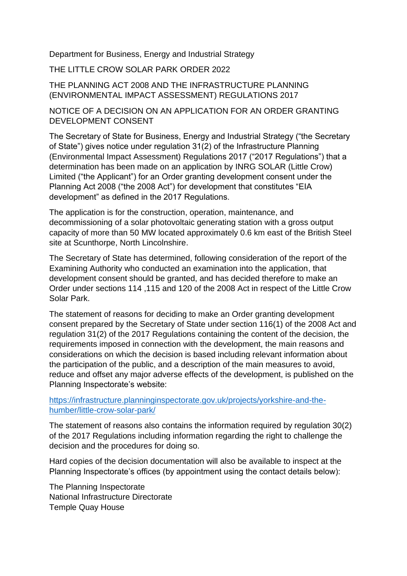Department for Business, Energy and Industrial Strategy

THE LITTLE CROW SOLAR PARK ORDER 2022

THE PLANNING ACT 2008 AND THE INFRASTRUCTURE PLANNING (ENVIRONMENTAL IMPACT ASSESSMENT) REGULATIONS 2017

## NOTICE OF A DECISION ON AN APPLICATION FOR AN ORDER GRANTING DEVELOPMENT CONSENT

The Secretary of State for Business, Energy and Industrial Strategy ("the Secretary of State") gives notice under regulation 31(2) of the Infrastructure Planning (Environmental Impact Assessment) Regulations 2017 ("2017 Regulations") that a determination has been made on an application by INRG SOLAR (Little Crow) Limited ("the Applicant") for an Order granting development consent under the Planning Act 2008 ("the 2008 Act") for development that constitutes "EIA development" as defined in the 2017 Regulations.

The application is for the construction, operation, maintenance, and decommissioning of a solar photovoltaic generating station with a gross output capacity of more than 50 MW located approximately 0.6 km east of the British Steel site at Scunthorpe, North Lincolnshire.

The Secretary of State has determined, following consideration of the report of the Examining Authority who conducted an examination into the application, that development consent should be granted, and has decided therefore to make an Order under sections 114 ,115 and 120 of the 2008 Act in respect of the Little Crow Solar Park.

The statement of reasons for deciding to make an Order granting development consent prepared by the Secretary of State under section 116(1) of the 2008 Act and regulation 31(2) of the 2017 Regulations containing the content of the decision, the requirements imposed in connection with the development, the main reasons and considerations on which the decision is based including relevant information about the participation of the public, and a description of the main measures to avoid, reduce and offset any major adverse effects of the development, is published on the Planning Inspectorate's website:

[https://infrastructure.planninginspectorate.gov.uk/projects/yorkshire-and-the](https://infrastructure.planninginspectorate.gov.uk/projects/yorkshire-and-the-humber/little-crow-solar-park/)[humber/little-crow-solar-park/](https://infrastructure.planninginspectorate.gov.uk/projects/yorkshire-and-the-humber/little-crow-solar-park/)

The statement of reasons also contains the information required by regulation 30(2) of the 2017 Regulations including information regarding the right to challenge the decision and the procedures for doing so.

Hard copies of the decision documentation will also be available to inspect at the Planning Inspectorate's offices (by appointment using the contact details below):

The Planning Inspectorate National Infrastructure Directorate Temple Quay House